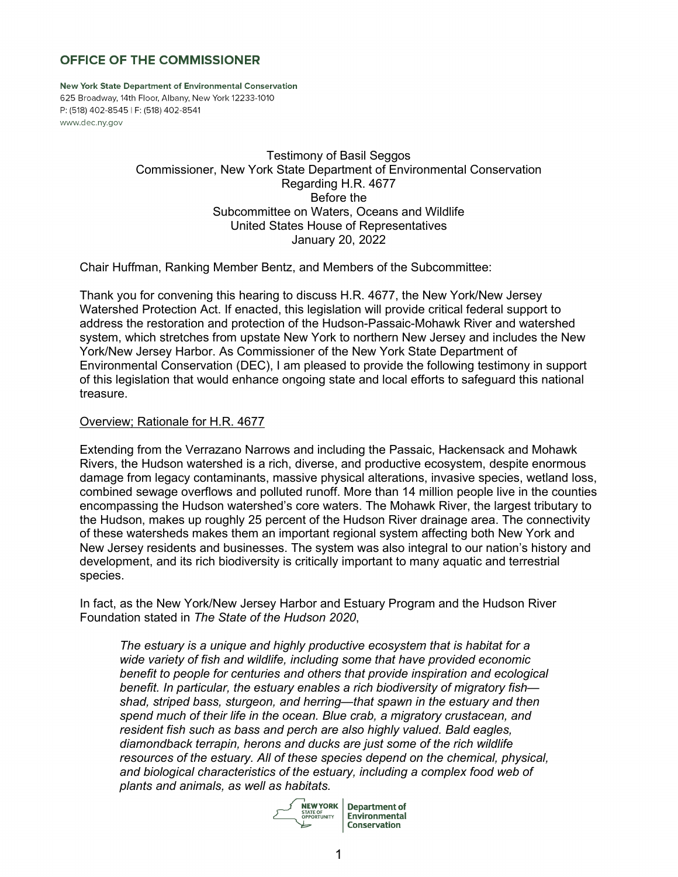# **OFFICE OF THE COMMISSIONER**

New York State Department of Environmental Conservation 625 Broadway, 14th Floor, Albany, New York 12233-1010 P: (518) 402-8545 | F: (518) 402-8541 www.dec.ny.gov

> Testimony of Basil Seggos Commissioner, New York State Department of Environmental Conservation Regarding H.R. 4677 Before the Subcommittee on Waters, Oceans and Wildlife United States House of Representatives January 20, 2022

Chair Huffman, Ranking Member Bentz, and Members of the Subcommittee:

Thank you for convening this hearing to discuss H.R. 4677, the New York/New Jersey Watershed Protection Act. If enacted, this legislation will provide critical federal support to address the restoration and protection of the Hudson-Passaic-Mohawk River and watershed system, which stretches from upstate New York to northern New Jersey and includes the New York/New Jersey Harbor. As Commissioner of the New York State Department of Environmental Conservation (DEC), I am pleased to provide the following testimony in support of this legislation that would enhance ongoing state and local efforts to safeguard this national treasure.

## Overview; Rationale for H.R. 4677

Extending from the Verrazano Narrows and including the Passaic, Hackensack and Mohawk Rivers, the Hudson watershed is a rich, diverse, and productive ecosystem, despite enormous damage from legacy contaminants, massive physical alterations, invasive species, wetland loss, combined sewage overflows and polluted runoff. More than 14 million people live in the counties encompassing the Hudson watershed's core waters. The Mohawk River, the largest tributary to the Hudson, makes up roughly 25 percent of the Hudson River drainage area. The connectivity of these watersheds makes them an important regional system affecting both New York and New Jersey residents and businesses. The system was also integral to our nation's history and development, and its rich biodiversity is critically important to many aquatic and terrestrial species.

In fact, as the New York/New Jersey Harbor and Estuary Program and the Hudson River Foundation stated in *The State of the Hudson 2020*,

*The estuary is a unique and highly productive ecosystem that is habitat for a wide variety of fish and wildlife, including some that have provided economic benefit to people for centuries and others that provide inspiration and ecological benefit. In particular, the estuary enables a rich biodiversity of migratory fish shad, striped bass, sturgeon, and herring—that spawn in the estuary and then spend much of their life in the ocean. Blue crab, a migratory crustacean, and resident fish such as bass and perch are also highly valued. Bald eagles, diamondback terrapin, herons and ducks are just some of the rich wildlife resources of the estuary. All of these species depend on the chemical, physical, and biological characteristics of the estuary, including a complex food web of plants and animals, as well as habitats.*

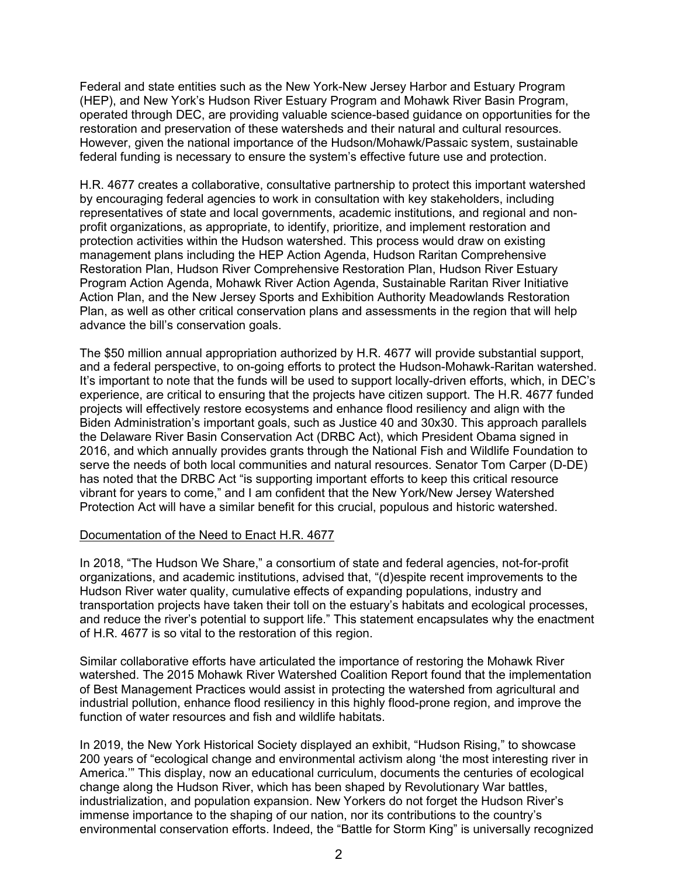Federal and state entities such as the New York-New Jersey Harbor and Estuary Program (HEP), and New York's Hudson River Estuary Program and Mohawk River Basin Program, operated through DEC, are providing valuable science-based guidance on opportunities for the restoration and preservation of these watersheds and their natural and cultural resources. However, given the national importance of the Hudson/Mohawk/Passaic system, sustainable federal funding is necessary to ensure the system's effective future use and protection.

H.R. 4677 creates a collaborative, consultative partnership to protect this important watershed by encouraging federal agencies to work in consultation with key stakeholders, including representatives of state and local governments, academic institutions, and regional and nonprofit organizations, as appropriate, to identify, prioritize, and implement restoration and protection activities within the Hudson watershed. This process would draw on existing management plans including the HEP Action Agenda, Hudson Raritan Comprehensive Restoration Plan, Hudson River Comprehensive Restoration Plan, Hudson River Estuary Program Action Agenda, Mohawk River Action Agenda, Sustainable Raritan River Initiative Action Plan, and the New Jersey Sports and Exhibition Authority Meadowlands Restoration Plan, as well as other critical conservation plans and assessments in the region that will help advance the bill's conservation goals.

The \$50 million annual appropriation authorized by H.R. 4677 will provide substantial support, and a federal perspective, to on-going efforts to protect the Hudson-Mohawk-Raritan watershed. It's important to note that the funds will be used to support locally-driven efforts, which, in DEC's experience, are critical to ensuring that the projects have citizen support. The H.R. 4677 funded projects will effectively restore ecosystems and enhance flood resiliency and align with the Biden Administration's important goals, such as Justice 40 and 30x30. This approach parallels the Delaware River Basin Conservation Act (DRBC Act), which President Obama signed in 2016, and which annually provides grants through the National Fish and Wildlife Foundation to serve the needs of both local communities and natural resources. Senator Tom Carper (D-DE) has noted that the DRBC Act "is supporting important efforts to keep this critical resource vibrant for years to come," and I am confident that the New York/New Jersey Watershed Protection Act will have a similar benefit for this crucial, populous and historic watershed.

### Documentation of the Need to Enact H.R. 4677

In 2018, "The Hudson We Share," a consortium of state and federal agencies, not-for-profit organizations, and academic institutions, advised that, "(d)espite recent improvements to the Hudson River water quality, cumulative effects of expanding populations, industry and transportation projects have taken their toll on the estuary's habitats and ecological processes, and reduce the river's potential to support life." This statement encapsulates why the enactment of H.R. 4677 is so vital to the restoration of this region.

Similar collaborative efforts have articulated the importance of restoring the Mohawk River watershed. The 2015 Mohawk River Watershed Coalition Report found that the implementation of Best Management Practices would assist in protecting the watershed from agricultural and industrial pollution, enhance flood resiliency in this highly flood-prone region, and improve the function of water resources and fish and wildlife habitats.

In 2019, the New York Historical Society displayed an exhibit, "Hudson Rising," to showcase 200 years of "ecological change and environmental activism along 'the most interesting river in America.'" This display, now an educational curriculum, documents the centuries of ecological change along the Hudson River, which has been shaped by Revolutionary War battles, industrialization, and population expansion. New Yorkers do not forget the Hudson River's immense importance to the shaping of our nation, nor its contributions to the country's environmental conservation efforts. Indeed, the "Battle for Storm King" is universally recognized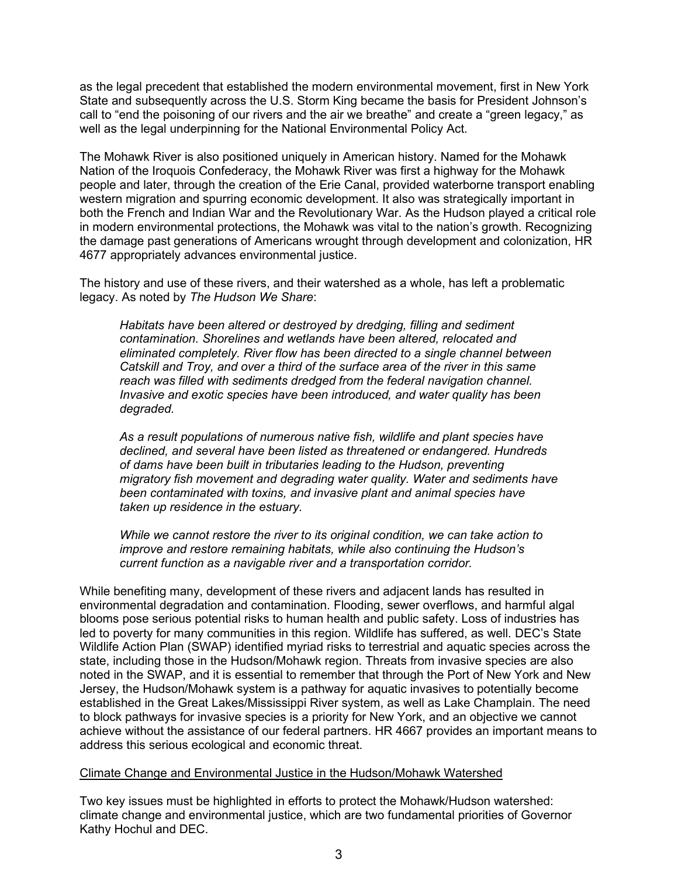as the legal precedent that established the modern environmental movement, first in New York State and subsequently across the U.S. Storm King became the basis for President Johnson's call to "end the poisoning of our rivers and the air we breathe" and create a "green legacy," as well as the legal underpinning for the National Environmental Policy Act.

The Mohawk River is also positioned uniquely in American history. Named for the Mohawk Nation of the Iroquois Confederacy, the Mohawk River was first a highway for the Mohawk people and later, through the creation of the Erie Canal, provided waterborne transport enabling western migration and spurring economic development. It also was strategically important in both the French and Indian War and the Revolutionary War. As the Hudson played a critical role in modern environmental protections, the Mohawk was vital to the nation's growth. Recognizing the damage past generations of Americans wrought through development and colonization, HR 4677 appropriately advances environmental justice.

The history and use of these rivers, and their watershed as a whole, has left a problematic legacy. As noted by *The Hudson We Share*:

*Habitats have been altered or destroyed by dredging, filling and sediment contamination. Shorelines and wetlands have been altered, relocated and eliminated completely. River flow has been directed to a single channel between Catskill and Troy, and over a third of the surface area of the river in this same reach was filled with sediments dredged from the federal navigation channel. Invasive and exotic species have been introduced, and water quality has been degraded.*

*As a result populations of numerous native fish, wildlife and plant species have declined, and several have been listed as threatened or endangered. Hundreds of dams have been built in tributaries leading to the Hudson, preventing migratory fish movement and degrading water quality. Water and sediments have been contaminated with toxins, and invasive plant and animal species have taken up residence in the estuary.*

*While we cannot restore the river to its original condition, we can take action to improve and restore remaining habitats, while also continuing the Hudson's current function as a navigable river and a transportation corridor.*

While benefiting many, development of these rivers and adjacent lands has resulted in environmental degradation and contamination. Flooding, sewer overflows, and harmful algal blooms pose serious potential risks to human health and public safety. Loss of industries has led to poverty for many communities in this region. Wildlife has suffered, as well. DEC's State Wildlife Action Plan (SWAP) identified myriad risks to terrestrial and aquatic species across the state, including those in the Hudson/Mohawk region. Threats from invasive species are also noted in the SWAP, and it is essential to remember that through the Port of New York and New Jersey, the Hudson/Mohawk system is a pathway for aquatic invasives to potentially become established in the Great Lakes/Mississippi River system, as well as Lake Champlain. The need to block pathways for invasive species is a priority for New York, and an objective we cannot achieve without the assistance of our federal partners. HR 4667 provides an important means to address this serious ecological and economic threat.

### Climate Change and Environmental Justice in the Hudson/Mohawk Watershed

Two key issues must be highlighted in efforts to protect the Mohawk/Hudson watershed: climate change and environmental justice, which are two fundamental priorities of Governor Kathy Hochul and DEC.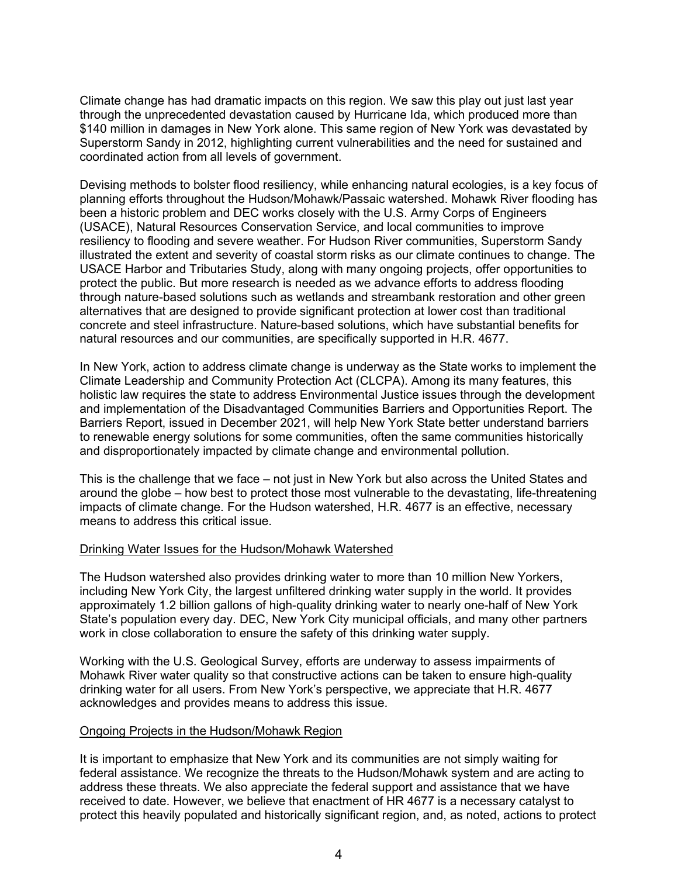Climate change has had dramatic impacts on this region. We saw this play out just last year through the unprecedented devastation caused by Hurricane Ida, which produced more than \$140 million in damages in New York alone. This same region of New York was devastated by Superstorm Sandy in 2012, highlighting current vulnerabilities and the need for sustained and coordinated action from all levels of government.

Devising methods to bolster flood resiliency, while enhancing natural ecologies, is a key focus of planning efforts throughout the Hudson/Mohawk/Passaic watershed. Mohawk River flooding has been a historic problem and DEC works closely with the U.S. Army Corps of Engineers (USACE), Natural Resources Conservation Service, and local communities to improve resiliency to flooding and severe weather. For Hudson River communities, Superstorm Sandy illustrated the extent and severity of coastal storm risks as our climate continues to change. The USACE Harbor and Tributaries Study, along with many ongoing projects, offer opportunities to protect the public. But more research is needed as we advance efforts to address flooding through nature-based solutions such as wetlands and streambank restoration and other green alternatives that are designed to provide significant protection at lower cost than traditional concrete and steel infrastructure. Nature-based solutions, which have substantial benefits for natural resources and our communities, are specifically supported in H.R. 4677.

In New York, action to address climate change is underway as the State works to implement the Climate Leadership and Community Protection Act (CLCPA). Among its many features, this holistic law requires the state to address Environmental Justice issues through the development and implementation of the Disadvantaged Communities Barriers and Opportunities Report. The Barriers Report, issued in December 2021, will help New York State better understand barriers to renewable energy solutions for some communities, often the same communities historically and disproportionately impacted by climate change and environmental pollution.

This is the challenge that we face – not just in New York but also across the United States and around the globe – how best to protect those most vulnerable to the devastating, life-threatening impacts of climate change. For the Hudson watershed, H.R. 4677 is an effective, necessary means to address this critical issue.

### Drinking Water Issues for the Hudson/Mohawk Watershed

The Hudson watershed also provides drinking water to more than 10 million New Yorkers, including New York City, the largest unfiltered drinking water supply in the world. It provides approximately 1.2 billion gallons of high-quality drinking water to nearly one-half of New York State's population every day. DEC, New York City municipal officials, and many other partners work in close collaboration to ensure the safety of this drinking water supply.

Working with the U.S. Geological Survey, efforts are underway to assess impairments of Mohawk River water quality so that constructive actions can be taken to ensure high-quality drinking water for all users. From New York's perspective, we appreciate that H.R. 4677 acknowledges and provides means to address this issue.

#### Ongoing Projects in the Hudson/Mohawk Region

It is important to emphasize that New York and its communities are not simply waiting for federal assistance. We recognize the threats to the Hudson/Mohawk system and are acting to address these threats. We also appreciate the federal support and assistance that we have received to date. However, we believe that enactment of HR 4677 is a necessary catalyst to protect this heavily populated and historically significant region, and, as noted, actions to protect